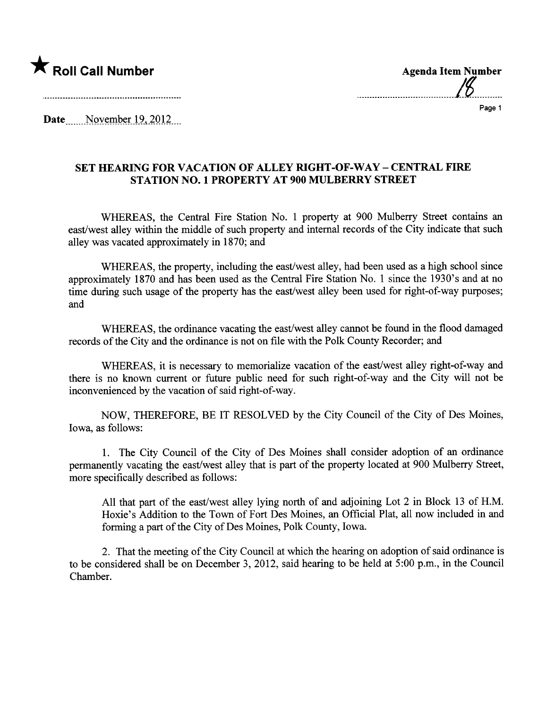



Date November  $19,2012$ 

## SET HEARING FOR VACATION OF ALLEY RIGHT-OF-WAY – CENTRAL FIRE STATION NO.1 PROPERTY AT 900 MULBERRY STREET

WHEREAS, the Central Fire Station No. 1 property at 900 Mulberry Street contains an east/west alley within the middle of such property and internal records of the City indicate that such alley was vacated approximately in 1870; and

WHEREAS, the property, including the east/west alley, had been used as a high school since approximately 1870 and has been used as the Central Fire Station No.1 since the 1930's and at no time during such usage of the property has the east/west alley been used for right-of-way purposes; and

WHEREAS, the ordinance vacating the east/west alley canot be found in the flood damaged records of the City and the ordinance is not on file with the Polk County Recorder; and

WHEREAS, it is necessary to memorialize vacation of the east/west alley right-of-way and there is no known current or future public need for such right-of-way and the City will not be inconvenienced by the vacation of said right-of-way.

NOW, THEREFORE, BE IT RESOLVED by the City Council of the City of Des Moines, Iowa, as follows:

1. The City Council of the City of Des Moines shall consider adoption of an ordinance permanently vacating the east/west alley that is part of the property located at 900 Mulberry Street, more specifically described as follows:

All that part of the east/west alley lying north of and adjoining Lot 2 in Block 13 of H.M. Hoxie's Addition to the Town of Fort Des Moines, an Official Plat, all now included in and forming a part of the City of Des Moines, Polk County, Iowa.

2. That the meeting of the City Council at which the hearng on adoption of said ordinance is to be considered shall be on December 3, 2012, said hearing to be held at 5:00 p.m., in the Council Chamber.